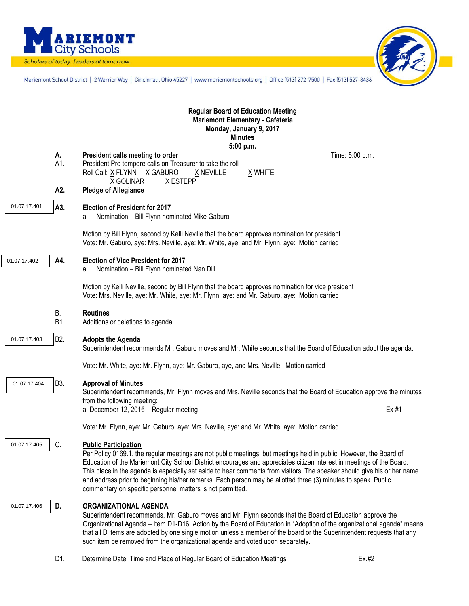

Scholars of today. Leaders of tomorrow.



Mariemont School District | 2 Warrior Way | Cincinnati, Ohio 45227 | www.mariemontschools.org | Office [513] 272-7500 | Fax [513] 527-3436

|              |                      | <b>Regular Board of Education Meeting</b><br>Mariemont Elementary - Cafeteria<br>Monday, January 9, 2017<br><b>Minutes</b><br>5:00 p.m.                                                                                                                                                                                                                                                                                                                                                                                                                                                                                                                                                 |                 |
|--------------|----------------------|-----------------------------------------------------------------------------------------------------------------------------------------------------------------------------------------------------------------------------------------------------------------------------------------------------------------------------------------------------------------------------------------------------------------------------------------------------------------------------------------------------------------------------------------------------------------------------------------------------------------------------------------------------------------------------------------|-----------------|
|              | А.<br>A1.<br>A2.     | President calls meeting to order<br>President Pro tempore calls on Treasurer to take the roll<br>Roll Call: X FLYNN X GABURO<br>X WHITE<br>X NEVILLE<br>X GOLINAR<br>X ESTEPP<br><b>Pledge of Allegiance</b>                                                                                                                                                                                                                                                                                                                                                                                                                                                                            | Time: 5:00 p.m. |
| 01.07.17.401 | A3.                  | <b>Election of President for 2017</b><br>Nomination - Bill Flynn nominated Mike Gaburo<br>a.<br>Motion by Bill Flynn, second by Kelli Neville that the board approves nomination for president                                                                                                                                                                                                                                                                                                                                                                                                                                                                                          |                 |
| 01.07.17.402 | A4.                  | Vote: Mr. Gaburo, aye: Mrs. Neville, aye: Mr. White, aye: and Mr. Flynn, aye: Motion carried<br><b>Election of Vice President for 2017</b><br>Nomination - Bill Flynn nominated Nan Dill<br>a.<br>Motion by Kelli Neville, second by Bill Flynn that the board approves nomination for vice president<br>Vote: Mrs. Neville, aye: Mr. White, aye: Mr. Flynn, aye: and Mr. Gaburo, aye: Motion carried                                                                                                                                                                                                                                                                                   |                 |
|              | В.<br>B <sub>1</sub> | <b>Routines</b><br>Additions or deletions to agenda                                                                                                                                                                                                                                                                                                                                                                                                                                                                                                                                                                                                                                     |                 |
| 01.07.17.403 | B <sub>2</sub> .     | <b>Adopts the Agenda</b><br>Superintendent recommends Mr. Gaburo moves and Mr. White seconds that the Board of Education adopt the agenda.<br>Vote: Mr. White, aye: Mr. Flynn, aye: Mr. Gaburo, aye, and Mrs. Neville: Motion carried                                                                                                                                                                                                                                                                                                                                                                                                                                                   |                 |
| 01.07.17.404 | B3.                  | <b>Approval of Minutes</b><br>Superintendent recommends, Mr. Flynn moves and Mrs. Neville seconds that the Board of Education approve the minutes<br>from the following meeting:<br>a. December 12, 2016 - Regular meeting                                                                                                                                                                                                                                                                                                                                                                                                                                                              | Ex #1           |
| 01.07.17.405 | C.                   | Vote: Mr. Flynn, aye: Mr. Gaburo, aye: Mrs. Neville, aye: and Mr. White, aye: Motion carried<br><b>Public Participation</b><br>Per Policy 0169.1, the regular meetings are not public meetings, but meetings held in public. However, the Board of<br>Education of the Mariemont City School District encourages and appreciates citizen interest in meetings of the Board.<br>This place in the agenda is especially set aside to hear comments from visitors. The speaker should give his or her name<br>and address prior to beginning his/her remarks. Each person may be allotted three (3) minutes to speak. Public<br>commentary on specific personnel matters is not permitted. |                 |
| 01.07.17.406 | D.                   | <b>ORGANIZATIONAL AGENDA</b><br>Superintendent recommends, Mr. Gaburo moves and Mr. Flynn seconds that the Board of Education approve the<br>Organizational Agenda - Item D1-D16. Action by the Board of Education in "Adoption of the organizational agenda" means<br>that all D items are adopted by one single motion unless a member of the board or the Superintendent requests that any<br>such item be removed from the organizational agenda and voted upon separately.                                                                                                                                                                                                         |                 |
|              | D1.                  | Determine Date, Time and Place of Regular Board of Education Meetings                                                                                                                                                                                                                                                                                                                                                                                                                                                                                                                                                                                                                   | Ex.#2           |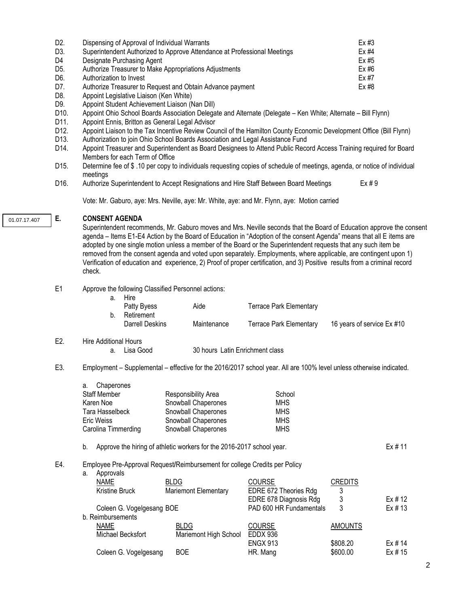| D2. | Dispensing of Approval of Individual Warrants                            | Ex #3 |
|-----|--------------------------------------------------------------------------|-------|
| D3. | Superintendent Authorized to Approve Attendance at Professional Meetings | Ex #4 |
| D4  | Designate Purchasing Agent                                               | Ex #5 |
| D5. | Authorize Treasurer to Make Appropriations Adjustments                   | Ex #6 |
| D6. | Authorization to Invest                                                  | Ex #7 |
| D7. | Authorize Treasurer to Request and Obtain Advance payment                | Ex #8 |
| D8. | Appoint Legislative Liaison (Ken White)                                  |       |
| --  |                                                                          |       |

- D9. Appoint Student Achievement Liaison (Nan Dill)
- D10. Appoint Ohio School Boards Association Delegate and Alternate (Delegate Ken White; Alternate Bill Flynn)<br>D11. Appoint Ennis. Britton as General Legal Advisor
- D11. Appoint Ennis, Britton as General Legal Advisor<br>D12. Appoint Liaison to the Tax Incentive Review Cou
- Appoint Liaison to the Tax Incentive Review Council of the Hamilton County Economic Development Office (Bill Flynn)
- D13. Authorization to join Ohio School Boards Association and Legal Assistance Fund<br>D14. Appoint Treasurer and Superintendent as Board Designees to Attend Public Recc
- Appoint Treasurer and Superintendent as Board Designees to Attend Public Record Access Training required for Board Members for each Term of Office
- D15. Determine fee of \$ .10 per copy to individuals requesting copies of schedule of meetings, agenda, or notice of individual meetings
- D16. Authorize Superintendent to Accept Resignations and Hire Staff Between Board Meetings Ex # 9

Vote: Mr. Gaburo, aye: Mrs. Neville, aye: Mr. White, aye: and Mr. Flynn, aye: Motion carried

01.07.17.407

### **E. CONSENT AGENDA**

Superintendent recommends, Mr. Gaburo moves and Mrs. Neville seconds that the Board of Education approve the consent agenda – Items E1-E4 Action by the Board of Education in "Adoption of the consent Agenda" means that all E items are adopted by one single motion unless a member of the Board or the Superintendent requests that any such item be removed from the consent agenda and voted upon separately. Employments, where applicable, are contingent upon 1) Verification of education and experience, 2) Proof of proper certification, and 3) Positive results from a criminal record check.

#### E1 Approve the following Classified Personnel actions:

| Hire            |             |                         |                            |
|-----------------|-------------|-------------------------|----------------------------|
| Patty Byess     | Aide        | Terrace Park Elementary |                            |
| Retirement      |             |                         |                            |
| Darrell Deskins | Maintenance | Terrace Park Elementarv | 16 years of service Ex #10 |
|                 |             |                         |                            |

# E2. Hire Additional Hours

a. Lisa Good 30 hours Latin Enrichment class

### E3. Employment – Supplemental – effective for the 2016/2017 school year. All are 100% level unless otherwise indicated.

| a. Chaperones       |                     |            |
|---------------------|---------------------|------------|
| Staff Member        | Responsibility Area | School     |
| Karen Noe           | Snowball Chaperones | <b>MHS</b> |
| Tara Hasselbeck     | Snowball Chaperones | <b>MHS</b> |
| Eric Weiss          | Snowball Chaperones | <b>MHS</b> |
| Carolina Timmerding | Snowball Chaperones | <b>MHS</b> |

### b. Approve the hiring of athletic workers for the 2016-2017 school year. Ex # 11

## E4. Employee Pre-Approval Request**/**Reimbursement for college Credits per Policy

| а. | Approvals |
|----|-----------|

| <b>NAME</b>               | <b>BLDG</b>                 | <b>COURSE</b>           | <b>CREDITS</b> |         |
|---------------------------|-----------------------------|-------------------------|----------------|---------|
| Kristine Bruck            | <b>Mariemont Elementary</b> | EDRE 672 Theories Rdg   | 3              |         |
|                           |                             | EDRE 678 Diagnosis Rdg  |                | Ex # 12 |
| Coleen G. Vogelgesang BOE |                             | PAD 600 HR Fundamentals | 3              | Ex # 13 |
| b. Reimbursements         |                             |                         |                |         |
| <b>NAME</b>               | <b>BLDG</b>                 | <b>COURSE</b>           | <b>AMOUNTS</b> |         |
| Michael Becksfort         | Mariemont High School       | EDDX 936                |                |         |
|                           |                             | <b>ENGX 913</b>         | \$808.20       | Ex # 14 |
| Coleen G. Vogelgesang     | <b>BOE</b>                  | HR. Mang                | \$600.00       | Ex # 15 |
|                           |                             |                         |                |         |